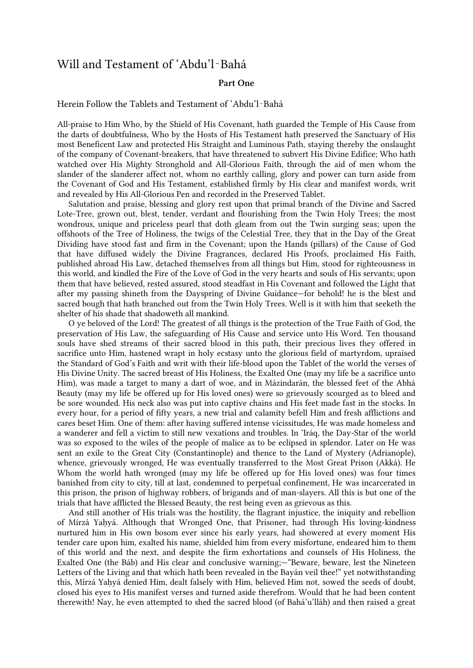# Will and Testament of 'Abdu'l‑Bahá

## **Part One**

### Herein Follow the Tablets and Testament of 'Abdu'l‑Bahá

All-praise to Him Who, by the Shield of His Covenant, hath guarded the Temple of His Cause from the darts of doubtfulness, Who by the Hosts of His Testament hath preserved the Sanctuary of His most Beneficent Law and protected His Straight and Luminous Path, staying thereby the onslaught of the company of Covenant-breakers, that have threatened to subvert His Divine Edifice; Who hath watched over His Mighty Stronghold and All-Glorious Faith, through the aid of men whom the slander of the slanderer affect not, whom no earthly calling, glory and power can turn aside from the Covenant of God and His Testament, established firmly by His clear and manifest words, writ and revealed by His All-Glorious Pen and recorded in the Preserved Tablet.

Salutation and praise, blessing and glory rest upon that primal branch of the Divine and Sacred Lote-Tree, grown out, blest, tender, verdant and flourishing from the Twin Holy Trees; the most wondrous, unique and priceless pearl that doth gleam from out the Twin surging seas; upon the offshoots of the Tree of Holiness, the twigs of the Celestial Tree, they that in the Day of the Great Dividing have stood fast and firm in the Covenant; upon the Hands (pillars) of the Cause of God that have diffused widely the Divine Fragrances, declared His Proofs, proclaimed His Faith, published abroad His Law, detached themselves from all things but Him, stood for righteousness in this world, and kindled the Fire of the Love of God in the very hearts and souls of His servants; upon them that have believed, rested assured, stood steadfast in His Covenant and followed the Light that after my passing shineth from the Dayspring of Divine Guidance—for behold! he is the blest and sacred bough that hath branched out from the Twin Holy Trees. Well is it with him that seeketh the shelter of his shade that shadoweth all mankind.

O ye beloved of the Lord! The greatest of all things is the protection of the True Faith of God, the preservation of His Law, the safeguarding of His Cause and service unto His Word. Ten thousand souls have shed streams of their sacred blood in this path, their precious lives they offered in sacrifice unto Him, hastened wrapt in holy ecstasy unto the glorious field of martyrdom, upraised the Standard of God's Faith and writ with their life-blood upon the Tablet of the world the verses of His Divine Unity. The sacred breast of His Holiness, the Exalted One (may my life be a sacrifice unto Him), was made a target to many a dart of woe, and in Mázindarán, the blessed feet of the Abhá Beauty (may my life be offered up for His loved ones) were so grievously scourged as to bleed and be sore wounded. His neck also was put into captive chains and His feet made fast in the stocks. In every hour, for a period of fifty years, a new trial and calamity befell Him and fresh afflictions and cares beset Him. One of them: after having suffered intense vicissitudes, He was made homeless and a wanderer and fell a victim to still new vexations and troubles. In 'Iráq, the Day-Star of the world was so exposed to the wiles of the people of malice as to be eclipsed in splendor. Later on He was sent an exile to the Great City (Constantinople) and thence to the Land of Mystery (Adrianople), whence, grievously wronged, He was eventually transferred to the Most Great Prison (Akká). He Whom the world hath wronged (may my life be offered up for His loved ones) was four times banished from city to city, till at last, condemned to perpetual confinement, He was incarcerated in this prison, the prison of highway robbers, of brigands and of man-slayers. All this is but one of the trials that have afflicted the Blessed Beauty, the rest being even as grievous as this.

And still another of His trials was the hostility, the flagrant injustice, the iniquity and rebellion of Mírzá Yaḥyá. Although that Wronged One, that Prisoner, had through His loving-kindness nurtured him in His own bosom ever since his early years, had showered at every moment His tender care upon him, exalted his name, shielded him from every misfortune, endeared him to them of this world and the next, and despite the firm exhortations and counsels of His Holiness, the Exalted One (the Báb) and His clear and conclusive warning;—"Beware, beware, lest the Nineteen Letters of the Living and that which hath been revealed in the Bayán veil thee!" yet notwithstanding this, Mírzá Yaḥyá denied Him, dealt falsely with Him, believed Him not, sowed the seeds of doubt, closed his eyes to His manifest verses and turned aside therefrom. Would that he had been content therewith! Nay, he even attempted to shed the sacred blood (of Bahá'u'lláh) and then raised a great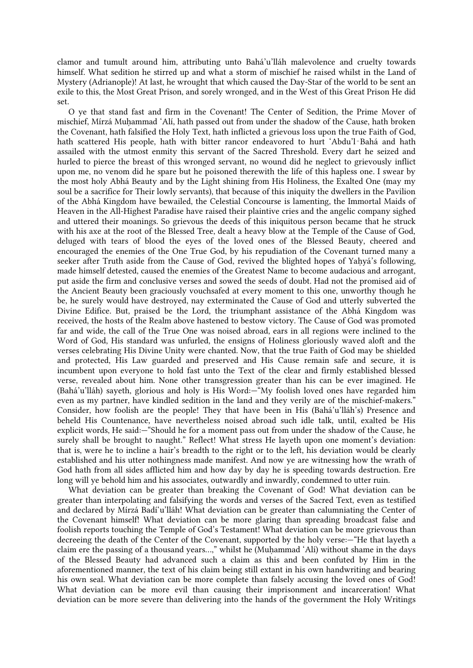clamor and tumult around him, attributing unto Bahá'u'lláh malevolence and cruelty towards himself. What sedition he stirred up and what a storm of mischief he raised whilst in the Land of Mystery (Adrianople)! At last, he wrought that which caused the Day-Star of the world to be sent an exile to this, the Most Great Prison, and sorely wronged, and in the West of this Great Prison He did set.

O ye that stand fast and firm in the Covenant! The Center of Sedition, the Prime Mover of mischief, Mírzá Muhammad 'Alí, hath passed out from under the shadow of the Cause, hath broken the Covenant, hath falsified the Holy Text, hath inflicted a grievous loss upon the true Faith of God, hath scattered His people, hath with bitter rancor endeavored to hurt 'Abdu'l-Bahá and hath assailed with the utmost enmity this servant of the Sacred Threshold. Every dart he seized and hurled to pierce the breast of this wronged servant, no wound did he neglect to grievously inflict upon me, no venom did he spare but he poisoned therewith the life of this hapless one. I swear by the most holy Abhá Beauty and by the Light shining from His Holiness, the Exalted One (may my soul be a sacrifice for Their lowly servants), that because of this iniquity the dwellers in the Pavilion of the Abhá Kingdom have bewailed, the Celestial Concourse is lamenting, the Immortal Maids of Heaven in the All-Highest Paradise have raised their plaintive cries and the angelic company sighed and uttered their moanings. So grievous the deeds of this iniquitous person became that he struck with his axe at the root of the Blessed Tree, dealt a heavy blow at the Temple of the Cause of God, deluged with tears of blood the eyes of the loved ones of the Blessed Beauty, cheered and encouraged the enemies of the One True God, by his repudiation of the Covenant turned many a seeker after Truth aside from the Cause of God, revived the blighted hopes of Yaḥyá's following, made himself detested, caused the enemies of the Greatest Name to become audacious and arrogant, put aside the firm and conclusive verses and sowed the seeds of doubt. Had not the promised aid of the Ancient Beauty been graciously vouchsafed at every moment to this one, unworthy though he be, he surely would have destroyed, nay exterminated the Cause of God and utterly subverted the Divine Edifice. But, praised be the Lord, the triumphant assistance of the Abhá Kingdom was received, the hosts of the Realm above hastened to bestow victory. The Cause of God was promoted far and wide, the call of the True One was noised abroad, ears in all regions were inclined to the Word of God, His standard was unfurled, the ensigns of Holiness gloriously waved aloft and the verses celebrating His Divine Unity were chanted. Now, that the true Faith of God may be shielded and protected, His Law guarded and preserved and His Cause remain safe and secure, it is incumbent upon everyone to hold fast unto the Text of the clear and firmly established blessed verse, revealed about him. None other transgression greater than his can be ever imagined. He (Bahá'u'lláh) sayeth, glorious and holy is His Word:—"My foolish loved ones have regarded him even as my partner, have kindled sedition in the land and they verily are of the mischief-makers." Consider, how foolish are the people! They that have been in His (Bahá'u'lláh's) Presence and beheld His Countenance, have nevertheless noised abroad such idle talk, until, exalted be His explicit words, He said:—"Should he for a moment pass out from under the shadow of the Cause, he surely shall be brought to naught." Reflect! What stress He layeth upon one moment's deviation: that is, were he to incline a hair's breadth to the right or to the left, his deviation would be clearly established and his utter nothingness made manifest. And now ye are witnessing how the wrath of God hath from all sides afflicted him and how day by day he is speeding towards destruction. Ere long will ye behold him and his associates, outwardly and inwardly, condemned to utter ruin.

What deviation can be greater than breaking the Covenant of God! What deviation can be greater than interpolating and falsifying the words and verses of the Sacred Text, even as testified and declared by Mírzá Badí'u'lláh! What deviation can be greater than calumniating the Center of the Covenant himself! What deviation can be more glaring than spreading broadcast false and foolish reports touching the Temple of God's Testament! What deviation can be more grievous than decreeing the death of the Center of the Covenant, supported by the holy verse:—"He that layeth a claim ere the passing of a thousand years…," whilst he (Muḥammad 'Alí) without shame in the days of the Blessed Beauty had advanced such a claim as this and been confuted by Him in the aforementioned manner, the text of his claim being still extant in his own handwriting and bearing his own seal. What deviation can be more complete than falsely accusing the loved ones of God! What deviation can be more evil than causing their imprisonment and incarceration! What deviation can be more severe than delivering into the hands of the government the Holy Writings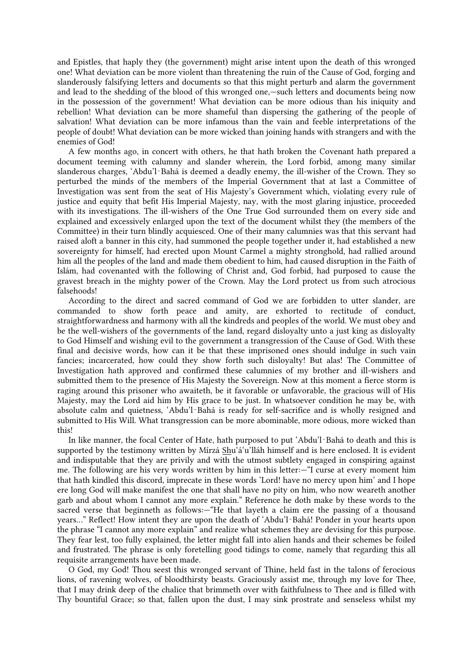and Epistles, that haply they (the government) might arise intent upon the death of this wronged one! What deviation can be more violent than threatening the ruin of the Cause of God, forging and slanderously falsifying letters and documents so that this might perturb and alarm the government and lead to the shedding of the blood of this wronged one,—such letters and documents being now in the possession of the government! What deviation can be more odious than his iniquity and rebellion! What deviation can be more shameful than dispersing the gathering of the people of salvation! What deviation can be more infamous than the vain and feeble interpretations of the people of doubt! What deviation can be more wicked than joining hands with strangers and with the enemies of God!

A few months ago, in concert with others, he that hath broken the Covenant hath prepared a document teeming with calumny and slander wherein, the Lord forbid, among many similar slanderous charges, 'Abdu'l-Bahá is deemed a deadly enemy, the ill-wisher of the Crown. They so perturbed the minds of the members of the Imperial Government that at last a Committee of Investigation was sent from the seat of His Majesty's Government which, violating every rule of justice and equity that befit His Imperial Majesty, nay, with the most glaring injustice, proceeded with its investigations. The ill-wishers of the One True God surrounded them on every side and explained and excessively enlarged upon the text of the document whilst they (the members of the Committee) in their turn blindly acquiesced. One of their many calumnies was that this servant had raised aloft a banner in this city, had summoned the people together under it, had established a new sovereignty for himself, had erected upon Mount Carmel a mighty stronghold, had rallied around him all the peoples of the land and made them obedient to him, had caused disruption in the Faith of Islám, had covenanted with the following of Christ and, God forbid, had purposed to cause the gravest breach in the mighty power of the Crown. May the Lord protect us from such atrocious falsehoods!

According to the direct and sacred command of God we are forbidden to utter slander, are commanded to show forth peace and amity, are exhorted to rectitude of conduct, straightforwardness and harmony with all the kindreds and peoples of the world. We must obey and be the well-wishers of the governments of the land, regard disloyalty unto a just king as disloyalty to God Himself and wishing evil to the government a transgression of the Cause of God. With these final and decisive words, how can it be that these imprisoned ones should indulge in such vain fancies; incarcerated, how could they show forth such disloyalty! But alas! The Committee of Investigation hath approved and confirmed these calumnies of my brother and ill-wishers and submitted them to the presence of His Majesty the Sovereign. Now at this moment a fierce storm is raging around this prisoner who awaiteth, be it favorable or unfavorable, the gracious will of His Majesty, may the Lord aid him by His grace to be just. In whatsoever condition he may be, with absolute calm and quietness, 'Abdu'l‑Bahá is ready for self-sacrifice and is wholly resigned and submitted to His Will. What transgression can be more abominable, more odious, more wicked than this!

In like manner, the focal Center of Hate, hath purposed to put 'Abdu'l-Bahá to death and this is supported by the testimony written by Mírzá Shu'á'u'lláh himself and is here enclosed. It is evident and indisputable that they are privily and with the utmost subtlety engaged in conspiring against me. The following are his very words written by him in this letter:—"I curse at every moment him that hath kindled this discord, imprecate in these words 'Lord! have no mercy upon him' and I hope ere long God will make manifest the one that shall have no pity on him, who now weareth another garb and about whom I cannot any more explain." Reference he doth make by these words to the sacred verse that beginneth as follows:—"He that layeth a claim ere the passing of a thousand years..." Reflect! How intent they are upon the death of 'Abdu'l-Bahá! Ponder in your hearts upon the phrase "I cannot any more explain" and realize what schemes they are devising for this purpose. They fear lest, too fully explained, the letter might fall into alien hands and their schemes be foiled and frustrated. The phrase is only foretelling good tidings to come, namely that regarding this all requisite arrangements have been made.

O God, my God! Thou seest this wronged servant of Thine, held fast in the talons of ferocious lions, of ravening wolves, of bloodthirsty beasts. Graciously assist me, through my love for Thee, that I may drink deep of the chalice that brimmeth over with faithfulness to Thee and is filled with Thy bountiful Grace; so that, fallen upon the dust, I may sink prostrate and senseless whilst my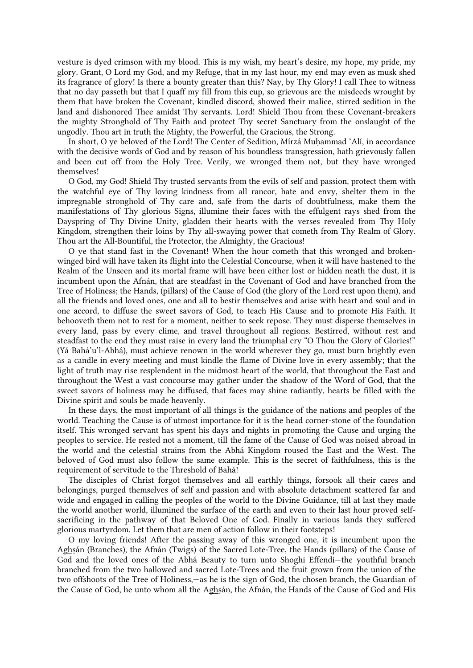vesture is dyed crimson with my blood. This is my wish, my heart's desire, my hope, my pride, my glory. Grant, O Lord my God, and my Refuge, that in my last hour, my end may even as musk shed its fragrance of glory! Is there a bounty greater than this? Nay, by Thy Glory! I call Thee to witness that no day passeth but that I quaff my fill from this cup, so grievous are the misdeeds wrought by them that have broken the Covenant, kindled discord, showed their malice, stirred sedition in the land and dishonored Thee amidst Thy servants. Lord! Shield Thou from these Covenant-breakers the mighty Stronghold of Thy Faith and protect Thy secret Sanctuary from the onslaught of the ungodly. Thou art in truth the Mighty, the Powerful, the Gracious, the Strong.

In short, O ye beloved of the Lord! The Center of Sedition, Mírzá Muhammad 'Alí, in accordance with the decisive words of God and by reason of his boundless transgression, hath grievously fallen and been cut off from the Holy Tree. Verily, we wronged them not, but they have wronged themselves!

O God, my God! Shield Thy trusted servants from the evils of self and passion, protect them with the watchful eye of Thy loving kindness from all rancor, hate and envy, shelter them in the impregnable stronghold of Thy care and, safe from the darts of doubtfulness, make them the manifestations of Thy glorious Signs, illumine their faces with the effulgent rays shed from the Dayspring of Thy Divine Unity, gladden their hearts with the verses revealed from Thy Holy Kingdom, strengthen their loins by Thy all-swaying power that cometh from Thy Realm of Glory. Thou art the All-Bountiful, the Protector, the Almighty, the Gracious!

O ye that stand fast in the Covenant! When the hour cometh that this wronged and brokenwinged bird will have taken its flight into the Celestial Concourse, when it will have hastened to the Realm of the Unseen and its mortal frame will have been either lost or hidden neath the dust, it is incumbent upon the Afnán, that are steadfast in the Covenant of God and have branched from the Tree of Holiness; the Hands, (pillars) of the Cause of God (the glory of the Lord rest upon them), and all the friends and loved ones, one and all to bestir themselves and arise with heart and soul and in one accord, to diffuse the sweet savors of God, to teach His Cause and to promote His Faith. It behooveth them not to rest for a moment, neither to seek repose. They must disperse themselves in every land, pass by every clime, and travel throughout all regions. Bestirred, without rest and steadfast to the end they must raise in every land the triumphal cry "O Thou the Glory of Glories!" (Yá Bahá'u'l-Abhá), must achieve renown in the world wherever they go, must burn brightly even as a candle in every meeting and must kindle the flame of Divine love in every assembly; that the light of truth may rise resplendent in the midmost heart of the world, that throughout the East and throughout the West a vast concourse may gather under the shadow of the Word of God, that the sweet savors of holiness may be diffused, that faces may shine radiantly, hearts be filled with the Divine spirit and souls be made heavenly.

In these days, the most important of all things is the guidance of the nations and peoples of the world. Teaching the Cause is of utmost importance for it is the head corner-stone of the foundation itself. This wronged servant has spent his days and nights in promoting the Cause and urging the peoples to service. He rested not a moment, till the fame of the Cause of God was noised abroad in the world and the celestial strains from the Abhá Kingdom roused the East and the West. The beloved of God must also follow the same example. This is the secret of faithfulness, this is the requirement of servitude to the Threshold of Bahá!

The disciples of Christ forgot themselves and all earthly things, forsook all their cares and belongings, purged themselves of self and passion and with absolute detachment scattered far and wide and engaged in calling the peoples of the world to the Divine Guidance, till at last they made the world another world, illumined the surface of the earth and even to their last hour proved selfsacrificing in the pathway of that Beloved One of God. Finally in various lands they suffered glorious martyrdom. Let them that are men of action follow in their footsteps!

O my loving friends! After the passing away of this wronged one, it is incumbent upon the Aghsán (Branches), the Afnán (Twigs) of the Sacred Lote-Tree, the Hands (pillars) of the Cause of God and the loved ones of the Abhá Beauty to turn unto Shoghi Effendi—the youthful branch branched from the two hallowed and sacred Lote-Trees and the fruit grown from the union of the two offshoots of the Tree of Holiness,—as he is the sign of God, the chosen branch, the Guardian of the Cause of God, he unto whom all the Aghsán, the Afnán, the Hands of the Cause of God and His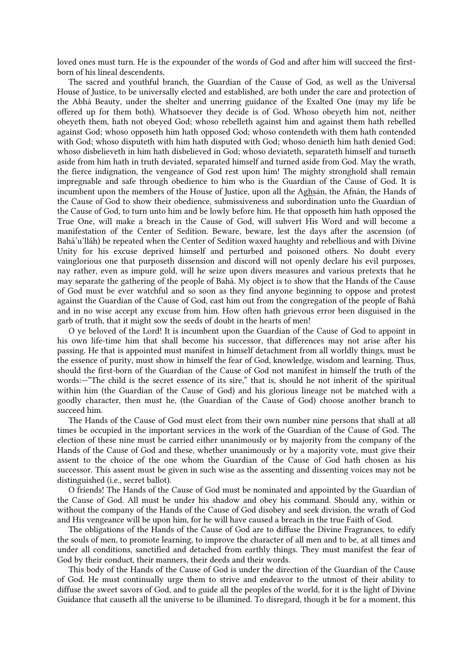loved ones must turn. He is the expounder of the words of God and after him will succeed the firstborn of his lineal descendents.

The sacred and youthful branch, the Guardian of the Cause of God, as well as the Universal House of Justice, to be universally elected and established, are both under the care and protection of the Abhá Beauty, under the shelter and unerring guidance of the Exalted One (may my life be offered up for them both). Whatsoever they decide is of God. Whoso obeyeth him not, neither obeyeth them, hath not obeyed God; whoso rebelleth against him and against them hath rebelled against God; whoso opposeth him hath opposed God; whoso contendeth with them hath contended with God; whoso disputeth with him hath disputed with God; whoso denieth him hath denied God; whoso disbelieveth in him hath disbelieved in God; whoso deviateth, separateth himself and turneth aside from him hath in truth deviated, separated himself and turned aside from God. May the wrath, the fierce indignation, the vengeance of God rest upon him! The mighty stronghold shall remain impregnable and safe through obedience to him who is the Guardian of the Cause of God. It is incumbent upon the members of the House of Justice, upon all the Aghsán, the Afnán, the Hands of the Cause of God to show their obedience, submissiveness and subordination unto the Guardian of the Cause of God, to turn unto him and be lowly before him. He that opposeth him hath opposed the True One, will make a breach in the Cause of God, will subvert His Word and will become a manifestation of the Center of Sedition. Beware, beware, lest the days after the ascension (of Bahá'u'lláh) be repeated when the Center of Sedition waxed haughty and rebellious and with Divine Unity for his excuse deprived himself and perturbed and poisoned others. No doubt every vainglorious one that purposeth dissension and discord will not openly declare his evil purposes, nay rather, even as impure gold, will he seize upon divers measures and various pretexts that he may separate the gathering of the people of Bahá. My object is to show that the Hands of the Cause of God must be ever watchful and so soon as they find anyone beginning to oppose and protest against the Guardian of the Cause of God, cast him out from the congregation of the people of Bahá and in no wise accept any excuse from him. How often hath grievous error been disguised in the garb of truth, that it might sow the seeds of doubt in the hearts of men!

O ye beloved of the Lord! It is incumbent upon the Guardian of the Cause of God to appoint in his own life-time him that shall become his successor, that differences may not arise after his passing. He that is appointed must manifest in himself detachment from all worldly things, must be the essence of purity, must show in himself the fear of God, knowledge, wisdom and learning. Thus, should the first-born of the Guardian of the Cause of God not manifest in himself the truth of the words:—"The child is the secret essence of its sire," that is, should he not inherit of the spiritual within him (the Guardian of the Cause of God) and his glorious lineage not be matched with a goodly character, then must he, (the Guardian of the Cause of God) choose another branch to succeed him.

The Hands of the Cause of God must elect from their own number nine persons that shall at all times be occupied in the important services in the work of the Guardian of the Cause of God. The election of these nine must be carried either unanimously or by majority from the company of the Hands of the Cause of God and these, whether unanimously or by a majority vote, must give their assent to the choice of the one whom the Guardian of the Cause of God hath chosen as his successor. This assent must be given in such wise as the assenting and dissenting voices may not be distinguished (i.e., secret ballot).

O friends! The Hands of the Cause of God must be nominated and appointed by the Guardian of the Cause of God. All must be under his shadow and obey his command. Should any, within or without the company of the Hands of the Cause of God disobey and seek division, the wrath of God and His vengeance will be upon him, for he will have caused a breach in the true Faith of God.

The obligations of the Hands of the Cause of God are to diffuse the Divine Fragrances, to edify the souls of men, to promote learning, to improve the character of all men and to be, at all times and under all conditions, sanctified and detached from earthly things. They must manifest the fear of God by their conduct, their manners, their deeds and their words.

This body of the Hands of the Cause of God is under the direction of the Guardian of the Cause of God. He must continually urge them to strive and endeavor to the utmost of their ability to diffuse the sweet savors of God, and to guide all the peoples of the world, for it is the light of Divine Guidance that causeth all the universe to be illumined. To disregard, though it be for a moment, this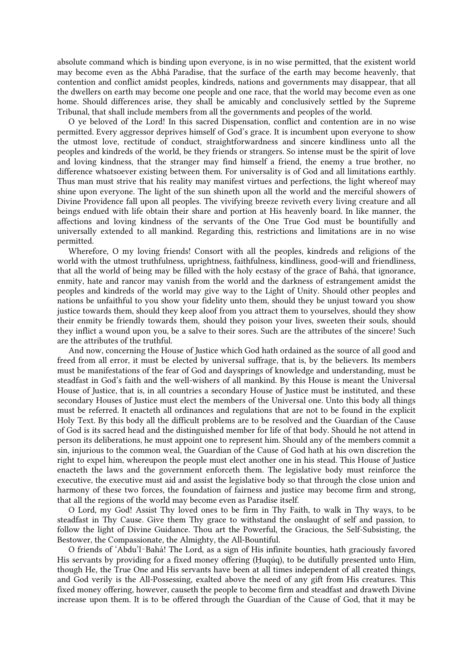absolute command which is binding upon everyone, is in no wise permitted, that the existent world may become even as the Abhá Paradise, that the surface of the earth may become heavenly, that contention and conflict amidst peoples, kindreds, nations and governments may disappear, that all the dwellers on earth may become one people and one race, that the world may become even as one home. Should differences arise, they shall be amicably and conclusively settled by the Supreme Tribunal, that shall include members from all the governments and peoples of the world.

O ye beloved of the Lord! In this sacred Dispensation, conflict and contention are in no wise permitted. Every aggressor deprives himself of God's grace. It is incumbent upon everyone to show the utmost love, rectitude of conduct, straightforwardness and sincere kindliness unto all the peoples and kindreds of the world, be they friends or strangers. So intense must be the spirit of love and loving kindness, that the stranger may find himself a friend, the enemy a true brother, no difference whatsoever existing between them. For universality is of God and all limitations earthly. Thus man must strive that his reality may manifest virtues and perfections, the light whereof may shine upon everyone. The light of the sun shineth upon all the world and the merciful showers of Divine Providence fall upon all peoples. The vivifying breeze reviveth every living creature and all beings endued with life obtain their share and portion at His heavenly board. In like manner, the affections and loving kindness of the servants of the One True God must be bountifully and universally extended to all mankind. Regarding this, restrictions and limitations are in no wise permitted.

Wherefore, O my loving friends! Consort with all the peoples, kindreds and religions of the world with the utmost truthfulness, uprightness, faithfulness, kindliness, good-will and friendliness, that all the world of being may be filled with the holy ecstasy of the grace of Bahá, that ignorance, enmity, hate and rancor may vanish from the world and the darkness of estrangement amidst the peoples and kindreds of the world may give way to the Light of Unity. Should other peoples and nations be unfaithful to you show your fidelity unto them, should they be unjust toward you show justice towards them, should they keep aloof from you attract them to yourselves, should they show their enmity be friendly towards them, should they poison your lives, sweeten their souls, should they inflict a wound upon you, be a salve to their sores. Such are the attributes of the sincere! Such are the attributes of the truthful.

And now, concerning the House of Justice which God hath ordained as the source of all good and freed from all error, it must be elected by universal suffrage, that is, by the believers. Its members must be manifestations of the fear of God and daysprings of knowledge and understanding, must be steadfast in God's faith and the well-wishers of all mankind. By this House is meant the Universal House of Justice, that is, in all countries a secondary House of Justice must be instituted, and these secondary Houses of Justice must elect the members of the Universal one. Unto this body all things must be referred. It enacteth all ordinances and regulations that are not to be found in the explicit Holy Text. By this body all the difficult problems are to be resolved and the Guardian of the Cause of God is its sacred head and the distinguished member for life of that body. Should he not attend in person its deliberations, he must appoint one to represent him. Should any of the members commit a sin, injurious to the common weal, the Guardian of the Cause of God hath at his own discretion the right to expel him, whereupon the people must elect another one in his stead. This House of Justice enacteth the laws and the government enforceth them. The legislative body must reinforce the executive, the executive must aid and assist the legislative body so that through the close union and harmony of these two forces, the foundation of fairness and justice may become firm and strong, that all the regions of the world may become even as Paradise itself.

O Lord, my God! Assist Thy loved ones to be firm in Thy Faith, to walk in Thy ways, to be steadfast in Thy Cause. Give them Thy grace to withstand the onslaught of self and passion, to follow the light of Divine Guidance. Thou art the Powerful, the Gracious, the Self-Subsisting, the Bestower, the Compassionate, the Almighty, the All-Bountiful.

O friends of 'Abdu'l‑Bahá! The Lord, as a sign of His infinite bounties, hath graciously favored His servants by providing for a fixed money offering (Ḥuqúq), to be dutifully presented unto Him, though He, the True One and His servants have been at all times independent of all created things, and God verily is the All-Possessing, exalted above the need of any gift from His creatures. This fixed money offering, however, causeth the people to become firm and steadfast and draweth Divine increase upon them. It is to be offered through the Guardian of the Cause of God, that it may be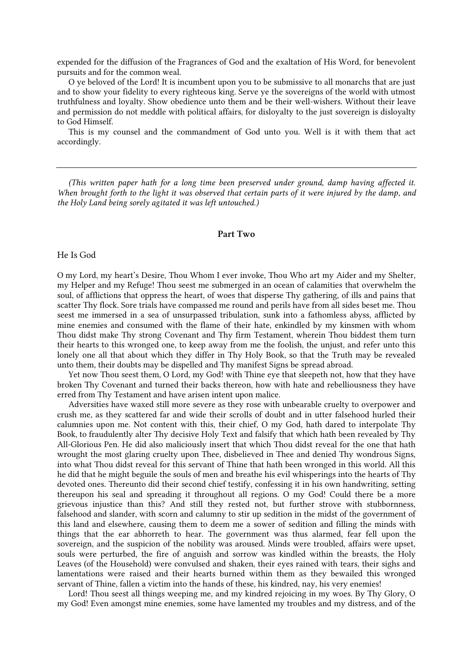expended for the diffusion of the Fragrances of God and the exaltation of His Word, for benevolent pursuits and for the common weal.

O ye beloved of the Lord! It is incumbent upon you to be submissive to all monarchs that are just and to show your fidelity to every righteous king. Serve ye the sovereigns of the world with utmost truthfulness and loyalty. Show obedience unto them and be their well-wishers. Without their leave and permission do not meddle with political affairs, for disloyalty to the just sovereign is disloyalty to God Himself.

This is my counsel and the commandment of God unto you. Well is it with them that act accordingly.

*(This written paper hath for a long time been preserved under ground, damp having affected it. When brought forth to the light it was observed that certain parts of it were injured by the damp, and the Holy Land being sorely agitated it was left untouched.)*

#### **Part Two**

#### He Is God

O my Lord, my heart's Desire, Thou Whom I ever invoke, Thou Who art my Aider and my Shelter, my Helper and my Refuge! Thou seest me submerged in an ocean of calamities that overwhelm the soul, of afflictions that oppress the heart, of woes that disperse Thy gathering, of ills and pains that scatter Thy flock. Sore trials have compassed me round and perils have from all sides beset me. Thou seest me immersed in a sea of unsurpassed tribulation, sunk into a fathomless abyss, afflicted by mine enemies and consumed with the flame of their hate, enkindled by my kinsmen with whom Thou didst make Thy strong Covenant and Thy firm Testament, wherein Thou biddest them turn their hearts to this wronged one, to keep away from me the foolish, the unjust, and refer unto this lonely one all that about which they differ in Thy Holy Book, so that the Truth may be revealed unto them, their doubts may be dispelled and Thy manifest Signs be spread abroad.

Yet now Thou seest them, O Lord, my God! with Thine eye that sleepeth not, how that they have broken Thy Covenant and turned their backs thereon, how with hate and rebelliousness they have erred from Thy Testament and have arisen intent upon malice.

Adversities have waxed still more severe as they rose with unbearable cruelty to overpower and crush me, as they scattered far and wide their scrolls of doubt and in utter falsehood hurled their calumnies upon me. Not content with this, their chief, O my God, hath dared to interpolate Thy Book, to fraudulently alter Thy decisive Holy Text and falsify that which hath been revealed by Thy All-Glorious Pen. He did also maliciously insert that which Thou didst reveal for the one that hath wrought the most glaring cruelty upon Thee, disbelieved in Thee and denied Thy wondrous Signs, into what Thou didst reveal for this servant of Thine that hath been wronged in this world. All this he did that he might beguile the souls of men and breathe his evil whisperings into the hearts of Thy devoted ones. Thereunto did their second chief testify, confessing it in his own handwriting, setting thereupon his seal and spreading it throughout all regions. O my God! Could there be a more grievous injustice than this? And still they rested not, but further strove with stubbornness, falsehood and slander, with scorn and calumny to stir up sedition in the midst of the government of this land and elsewhere, causing them to deem me a sower of sedition and filling the minds with things that the ear abhorreth to hear. The government was thus alarmed, fear fell upon the sovereign, and the suspicion of the nobility was aroused. Minds were troubled, affairs were upset, souls were perturbed, the fire of anguish and sorrow was kindled within the breasts, the Holy Leaves (of the Household) were convulsed and shaken, their eyes rained with tears, their sighs and lamentations were raised and their hearts burned within them as they bewailed this wronged servant of Thine, fallen a victim into the hands of these, his kindred, nay, his very enemies!

Lord! Thou seest all things weeping me, and my kindred rejoicing in my woes. By Thy Glory, O my God! Even amongst mine enemies, some have lamented my troubles and my distress, and of the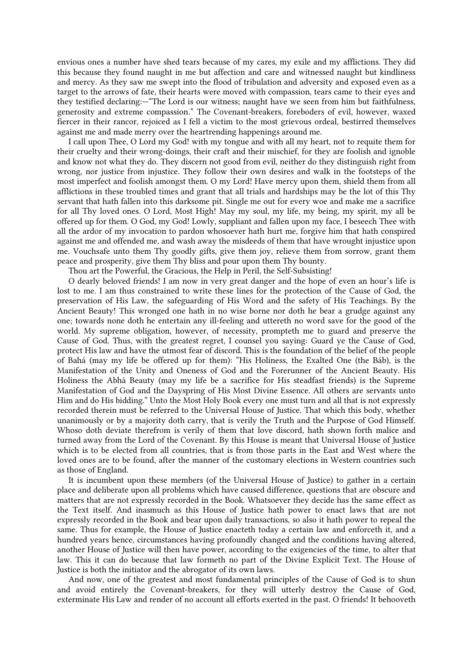envious ones a number have shed tears because of my cares, my exile and my afflictions. They did this because they found naught in me but affection and care and witnessed naught but kindliness and mercy. As they saw me swept into the flood of tribulation and adversity and exposed even as a target to the arrows of fate, their hearts were moved with compassion, tears came to their eyes and they testified declaring:—"The Lord is our witness; naught have we seen from him but faithfulness, generosity and extreme compassion." The Covenant-breakers, foreboders of evil, however, waxed fiercer in their rancor, rejoiced as I fell a victim to the most grievous ordeal, bestirred themselves against me and made merry over the heartrending happenings around me.

I call upon Thee, O Lord my God! with my tongue and with all my heart, not to requite them for their cruelty and their wrong-doings, their craft and their mischief, for they are foolish and ignoble and know not what they do. They discern not good from evil, neither do they distinguish right from wrong, nor justice from injustice. They follow their own desires and walk in the footsteps of the most imperfect and foolish amongst them. O my Lord! Have mercy upon them, shield them from all afflictions in these troubled times and grant that all trials and hardships may be the lot of this Thy servant that hath fallen into this darksome pit. Single me out for every woe and make me a sacrifice for all Thy loved ones. O Lord, Most High! May my soul, my life, my being, my spirit, my all be offered up for them. O God, my God! Lowly, suppliant and fallen upon my face, I beseech Thee with all the ardor of my invocation to pardon whosoever hath hurt me, forgive him that hath conspired against me and offended me, and wash away the misdeeds of them that have wrought injustice upon me. Vouchsafe unto them Thy goodly gifts, give them joy, relieve them from sorrow, grant them peace and prosperity, give them Thy bliss and pour upon them Thy bounty.

Thou art the Powerful, the Gracious, the Help in Peril, the Self-Subsisting!

O dearly beloved friends! I am now in very great danger and the hope of even an hour's life is lost to me. I am thus constrained to write these lines for the protection of the Cause of God, the preservation of His Law, the safeguarding of His Word and the safety of His Teachings. By the Ancient Beauty! This wronged one hath in no wise borne nor doth he bear a grudge against any one; towards none doth he entertain any ill-feeling and uttereth no word save for the good of the world. My supreme obligation, however, of necessity, prompteth me to guard and preserve the Cause of God. Thus, with the greatest regret, I counsel you saying: Guard ye the Cause of God, protect His law and have the utmost fear of discord. This is the foundation of the belief of the people of Bahá (may my life be offered up for them): "His Holiness, the Exalted One (the Báb), is the Manifestation of the Unity and Oneness of God and the Forerunner of the Ancient Beauty. His Holiness the Abhá Beauty (may my life be a sacrifice for His steadfast friends) is the Supreme Manifestation of God and the Dayspring of His Most Divine Essence. All others are servants unto Him and do His bidding." Unto the Most Holy Book every one must turn and all that is not expressly recorded therein must be referred to the Universal House of Justice. That which this body, whether unanimously or by a majority doth carry, that is verily the Truth and the Purpose of God Himself. Whoso doth deviate therefrom is verily of them that love discord, hath shown forth malice and turned away from the Lord of the Covenant. By this House is meant that Universal House of Justice which is to be elected from all countries, that is from those parts in the East and West where the loved ones are to be found, after the manner of the customary elections in Western countries such as those of England.

It is incumbent upon these members (of the Universal House of Justice) to gather in a certain place and deliberate upon all problems which have caused difference, questions that are obscure and matters that are not expressly recorded in the Book. Whatsoever they decide has the same effect as the Text itself. And inasmuch as this House of Justice hath power to enact laws that are not expressly recorded in the Book and bear upon daily transactions, so also it hath power to repeal the same. Thus for example, the House of Justice enacteth today a certain law and enforceth it, and a hundred years hence, circumstances having profoundly changed and the conditions having altered, another House of Justice will then have power, according to the exigencies of the time, to alter that law. This it can do because that law formeth no part of the Divine Explicit Text. The House of Justice is both the initiator and the abrogator of its own laws.

And now, one of the greatest and most fundamental principles of the Cause of God is to shun and avoid entirely the Covenant-breakers, for they will utterly destroy the Cause of God, exterminate His Law and render of no account all efforts exerted in the past. O friends! It behooveth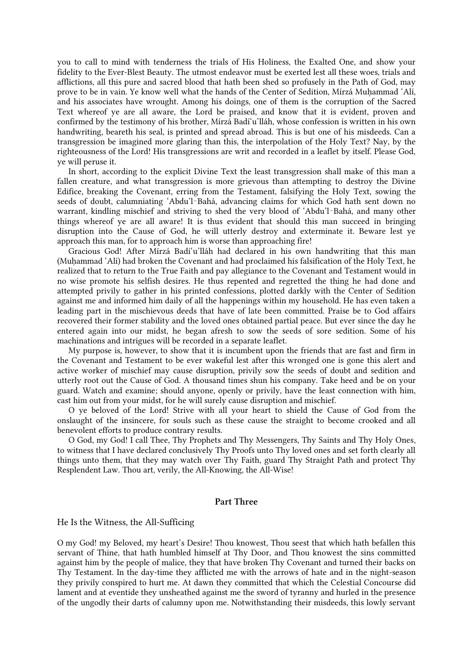you to call to mind with tenderness the trials of His Holiness, the Exalted One, and show your fidelity to the Ever-Blest Beauty. The utmost endeavor must be exerted lest all these woes, trials and afflictions, all this pure and sacred blood that hath been shed so profusely in the Path of God, may prove to be in vain. Ye know well what the hands of the Center of Sedition, Mírzá Muhammad 'Alí, and his associates have wrought. Among his doings, one of them is the corruption of the Sacred Text whereof ye are all aware, the Lord be praised, and know that it is evident, proven and confirmed by the testimony of his brother, Mírzá Badí'u'lláh, whose confession is written in his own handwriting, beareth his seal, is printed and spread abroad. This is but one of his misdeeds. Can a transgression be imagined more glaring than this, the interpolation of the Holy Text? Nay, by the righteousness of the Lord! His transgressions are writ and recorded in a leaflet by itself. Please God, ye will peruse it.

In short, according to the explicit Divine Text the least transgression shall make of this man a fallen creature, and what transgression is more grievous than attempting to destroy the Divine Edifice, breaking the Covenant, erring from the Testament, falsifying the Holy Text, sowing the seeds of doubt, calumniating 'Abdu'l-Bahá, advancing claims for which God hath sent down no warrant, kindling mischief and striving to shed the very blood of 'Abdu'l-Bahá, and many other things whereof ye are all aware! It is thus evident that should this man succeed in bringing disruption into the Cause of God, he will utterly destroy and exterminate it. Beware lest ye approach this man, for to approach him is worse than approaching fire!

Gracious God! After Mírzá Badí'u'lláh had declared in his own handwriting that this man (Muḥammad 'Alí) had broken the Covenant and had proclaimed his falsification of the Holy Text, he realized that to return to the True Faith and pay allegiance to the Covenant and Testament would in no wise promote his selfish desires. He thus repented and regretted the thing he had done and attempted privily to gather in his printed confessions, plotted darkly with the Center of Sedition against me and informed him daily of all the happenings within my household. He has even taken a leading part in the mischievous deeds that have of late been committed. Praise be to God affairs recovered their former stability and the loved ones obtained partial peace. But ever since the day he entered again into our midst, he began afresh to sow the seeds of sore sedition. Some of his machinations and intrigues will be recorded in a separate leaflet.

My purpose is, however, to show that it is incumbent upon the friends that are fast and firm in the Covenant and Testament to be ever wakeful lest after this wronged one is gone this alert and active worker of mischief may cause disruption, privily sow the seeds of doubt and sedition and utterly root out the Cause of God. A thousand times shun his company. Take heed and be on your guard. Watch and examine; should anyone, openly or privily, have the least connection with him, cast him out from your midst, for he will surely cause disruption and mischief.

O ye beloved of the Lord! Strive with all your heart to shield the Cause of God from the onslaught of the insincere, for souls such as these cause the straight to become crooked and all benevolent efforts to produce contrary results.

O God, my God! I call Thee, Thy Prophets and Thy Messengers, Thy Saints and Thy Holy Ones, to witness that I have declared conclusively Thy Proofs unto Thy loved ones and set forth clearly all things unto them, that they may watch over Thy Faith, guard Thy Straight Path and protect Thy Resplendent Law. Thou art, verily, the All-Knowing, the All-Wise!

#### **Part Three**

He Is the Witness, the All-Sufficing

O my God! my Beloved, my heart's Desire! Thou knowest, Thou seest that which hath befallen this servant of Thine, that hath humbled himself at Thy Door, and Thou knowest the sins committed against him by the people of malice, they that have broken Thy Covenant and turned their backs on Thy Testament. In the day-time they afflicted me with the arrows of hate and in the night-season they privily conspired to hurt me. At dawn they committed that which the Celestial Concourse did lament and at eventide they unsheathed against me the sword of tyranny and hurled in the presence of the ungodly their darts of calumny upon me. Notwithstanding their misdeeds, this lowly servant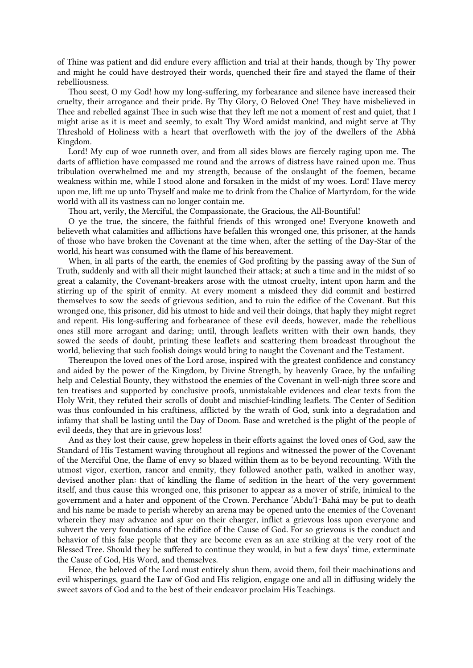of Thine was patient and did endure every affliction and trial at their hands, though by Thy power and might he could have destroyed their words, quenched their fire and stayed the flame of their rebelliousness.

Thou seest, O my God! how my long-suffering, my forbearance and silence have increased their cruelty, their arrogance and their pride. By Thy Glory, O Beloved One! They have misbelieved in Thee and rebelled against Thee in such wise that they left me not a moment of rest and quiet, that I might arise as it is meet and seemly, to exalt Thy Word amidst mankind, and might serve at Thy Threshold of Holiness with a heart that overfloweth with the joy of the dwellers of the Abhá Kingdom.

Lord! My cup of woe runneth over, and from all sides blows are fiercely raging upon me. The darts of affliction have compassed me round and the arrows of distress have rained upon me. Thus tribulation overwhelmed me and my strength, because of the onslaught of the foemen, became weakness within me, while I stood alone and forsaken in the midst of my woes. Lord! Have mercy upon me, lift me up unto Thyself and make me to drink from the Chalice of Martyrdom, for the wide world with all its vastness can no longer contain me.

Thou art, verily, the Merciful, the Compassionate, the Gracious, the All-Bountiful!

O ye the true, the sincere, the faithful friends of this wronged one! Everyone knoweth and believeth what calamities and afflictions have befallen this wronged one, this prisoner, at the hands of those who have broken the Covenant at the time when, after the setting of the Day-Star of the world, his heart was consumed with the flame of his bereavement.

When, in all parts of the earth, the enemies of God profiting by the passing away of the Sun of Truth, suddenly and with all their might launched their attack; at such a time and in the midst of so great a calamity, the Covenant-breakers arose with the utmost cruelty, intent upon harm and the stirring up of the spirit of enmity. At every moment a misdeed they did commit and bestirred themselves to sow the seeds of grievous sedition, and to ruin the edifice of the Covenant. But this wronged one, this prisoner, did his utmost to hide and veil their doings, that haply they might regret and repent. His long-suffering and forbearance of these evil deeds, however, made the rebellious ones still more arrogant and daring; until, through leaflets written with their own hands, they sowed the seeds of doubt, printing these leaflets and scattering them broadcast throughout the world, believing that such foolish doings would bring to naught the Covenant and the Testament.

Thereupon the loved ones of the Lord arose, inspired with the greatest confidence and constancy and aided by the power of the Kingdom, by Divine Strength, by heavenly Grace, by the unfailing help and Celestial Bounty, they withstood the enemies of the Covenant in well-nigh three score and ten treatises and supported by conclusive proofs, unmistakable evidences and clear texts from the Holy Writ, they refuted their scrolls of doubt and mischief-kindling leaflets. The Center of Sedition was thus confounded in his craftiness, afflicted by the wrath of God, sunk into a degradation and infamy that shall be lasting until the Day of Doom. Base and wretched is the plight of the people of evil deeds, they that are in grievous loss!

And as they lost their cause, grew hopeless in their efforts against the loved ones of God, saw the Standard of His Testament waving throughout all regions and witnessed the power of the Covenant of the Merciful One, the flame of envy so blazed within them as to be beyond recounting. With the utmost vigor, exertion, rancor and enmity, they followed another path, walked in another way, devised another plan: that of kindling the flame of sedition in the heart of the very government itself, and thus cause this wronged one, this prisoner to appear as a mover of strife, inimical to the government and a hater and opponent of the Crown. Perchance 'Abdu'l‑Bahá may be put to death and his name be made to perish whereby an arena may be opened unto the enemies of the Covenant wherein they may advance and spur on their charger, inflict a grievous loss upon everyone and subvert the very foundations of the edifice of the Cause of God. For so grievous is the conduct and behavior of this false people that they are become even as an axe striking at the very root of the Blessed Tree. Should they be suffered to continue they would, in but a few days' time, exterminate the Cause of God, His Word, and themselves.

Hence, the beloved of the Lord must entirely shun them, avoid them, foil their machinations and evil whisperings, guard the Law of God and His religion, engage one and all in diffusing widely the sweet savors of God and to the best of their endeavor proclaim His Teachings.